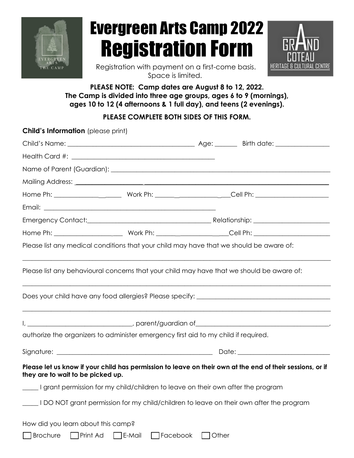

# Evergreen Arts Camp 2022 Registration Form



Registration with payment on a first-come basis. Space is limited.

## **PLEASE NOTE: Camp dates are August 8 to 12, 2022. The Camp is divided into three age groups, ages 6 to 9 (mornings), ages 10 to 12 (4 afternoons & 1 full day), and teens (2 evenings).**

## **PLEASE COMPLETE BOTH SIDES OF THIS FORM.**

| <b>Child's Information</b> (please print)                                               |        |                   |                                                                                                           |  |
|-----------------------------------------------------------------------------------------|--------|-------------------|-----------------------------------------------------------------------------------------------------------|--|
|                                                                                         |        |                   |                                                                                                           |  |
|                                                                                         |        |                   |                                                                                                           |  |
|                                                                                         |        |                   |                                                                                                           |  |
|                                                                                         |        |                   |                                                                                                           |  |
|                                                                                         |        |                   |                                                                                                           |  |
|                                                                                         |        |                   |                                                                                                           |  |
|                                                                                         |        |                   |                                                                                                           |  |
|                                                                                         |        |                   |                                                                                                           |  |
| Please list any medical conditions that your child may have that we should be aware of: |        |                   |                                                                                                           |  |
|                                                                                         |        |                   |                                                                                                           |  |
| authorize the organizers to administer emergency first aid to my child if required.     |        |                   |                                                                                                           |  |
|                                                                                         |        |                   |                                                                                                           |  |
| they are to wait to be picked up.                                                       |        |                   | Please let us know if your child has permission to leave on their own at the end of their sessions, or if |  |
| I grant permission for my child/children to leave on their own after the program        |        |                   |                                                                                                           |  |
|                                                                                         |        |                   | I DO NOT grant permission for my child/children to leave on their own after the program                   |  |
| How did you learn about this camp?                                                      |        |                   |                                                                                                           |  |
| <b>Brochure</b><br>Print Ad                                                             | E-Mail | Facebook<br>Other |                                                                                                           |  |